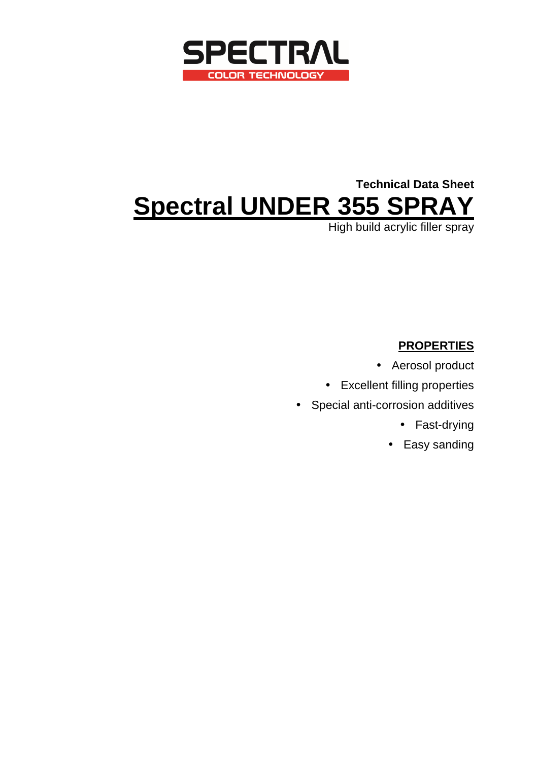

# **Technical Data Sheet Spectral UNDER 355 SPRAY**

High build acrylic filler spray

# **PROPERTIES**

- Aerosol product
- Excellent filling properties
- Special anti-corrosion additives
	- Fast-drying
	- Easy sanding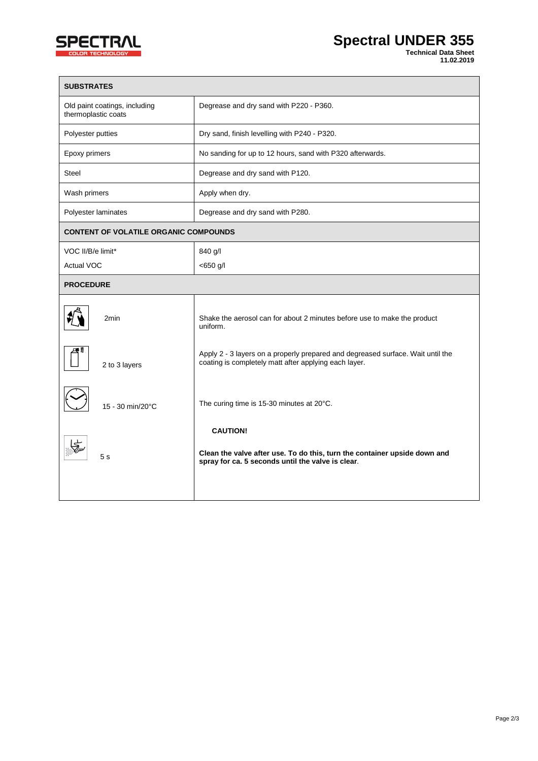

| <b>SUBSTRATES</b>                                    |                                                                                                                                                   |
|------------------------------------------------------|---------------------------------------------------------------------------------------------------------------------------------------------------|
| Old paint coatings, including<br>thermoplastic coats | Degrease and dry sand with P220 - P360.                                                                                                           |
| Polyester putties                                    | Dry sand, finish levelling with P240 - P320.                                                                                                      |
| Epoxy primers                                        | No sanding for up to 12 hours, sand with P320 afterwards.                                                                                         |
| <b>Steel</b>                                         | Degrease and dry sand with P120.                                                                                                                  |
| Wash primers                                         | Apply when dry.                                                                                                                                   |
| Polyester laminates                                  | Degrease and dry sand with P280.                                                                                                                  |
| <b>CONTENT OF VOLATILE ORGANIC COMPOUNDS</b>         |                                                                                                                                                   |
| VOC II/B/e limit*                                    | 840 g/l                                                                                                                                           |
| Actual VOC                                           | $<$ 650 g/l                                                                                                                                       |
| <b>PROCEDURE</b>                                     |                                                                                                                                                   |
| 2min                                                 | Shake the aerosol can for about 2 minutes before use to make the product<br>uniform.                                                              |
| 2 to 3 layers                                        | Apply 2 - 3 layers on a properly prepared and degreased surface. Wait until the<br>coating is completely matt after applying each layer.          |
| 15 - 30 min/20°C                                     | The curing time is 15-30 minutes at 20°C.                                                                                                         |
| 5s                                                   | <b>CAUTION!</b><br>Clean the valve after use. To do this, turn the container upside down and<br>spray for ca. 5 seconds until the valve is clear. |